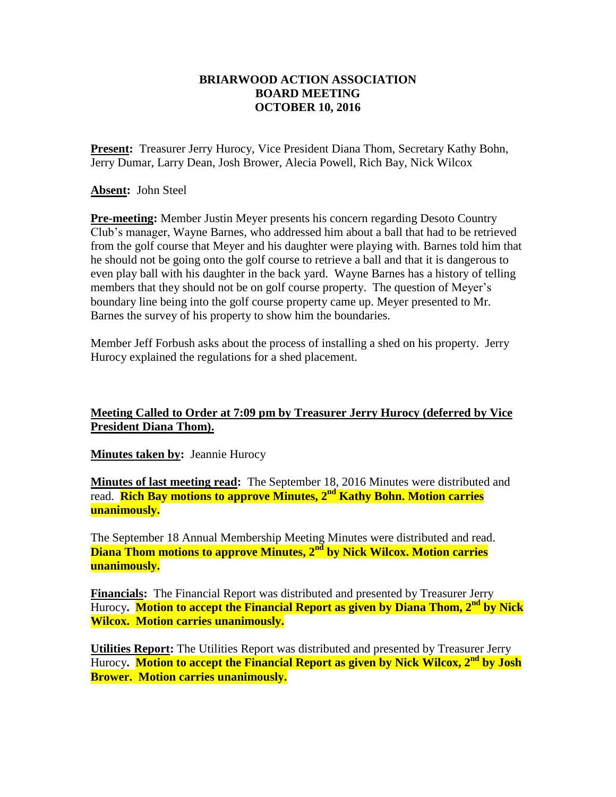## **BRIARWOOD ACTION ASSOCIATION BOARD MEETING OCTOBER 10, 2016**

**Present:** Treasurer Jerry Hurocy, Vice President Diana Thom, Secretary Kathy Bohn, Jerry Dumar, Larry Dean, Josh Brower, Alecia Powell, Rich Bay, Nick Wilcox

**Absent:** John Steel

**Pre-meeting:** Member Justin Meyer presents his concern regarding Desoto Country Club's manager, Wayne Barnes, who addressed him about a ball that had to be retrieved from the golf course that Meyer and his daughter were playing with. Barnes told him that he should not be going onto the golf course to retrieve a ball and that it is dangerous to even play ball with his daughter in the back yard. Wayne Barnes has a history of telling members that they should not be on golf course property. The question of Meyer's boundary line being into the golf course property came up. Meyer presented to Mr. Barnes the survey of his property to show him the boundaries.

Member Jeff Forbush asks about the process of installing a shed on his property. Jerry Hurocy explained the regulations for a shed placement.

## **Meeting Called to Order at 7:09 pm by Treasurer Jerry Hurocy (deferred by Vice President Diana Thom).**

**Minutes taken by: Jeannie Hurocy** 

**Minutes of last meeting read:** The September 18, 2016 Minutes were distributed and read. **Rich Bay motions to approve Minutes, 2 nd Kathy Bohn. Motion carries unanimously.**

The September 18 Annual Membership Meeting Minutes were distributed and read. **Diana Thom motions to approve Minutes, 2 nd by Nick Wilcox. Motion carries unanimously.**

**Financials:** The Financial Report was distributed and presented by Treasurer Jerry Hurocy**. Motion to accept the Financial Report as given by Diana Thom, 2 nd by Nick Wilcox. Motion carries unanimously.**

**Utilities Report:** The Utilities Report was distributed and presented by Treasurer Jerry Hurocy**. Motion to accept the Financial Report as given by Nick Wilcox, 2nd by Josh Brower. Motion carries unanimously.**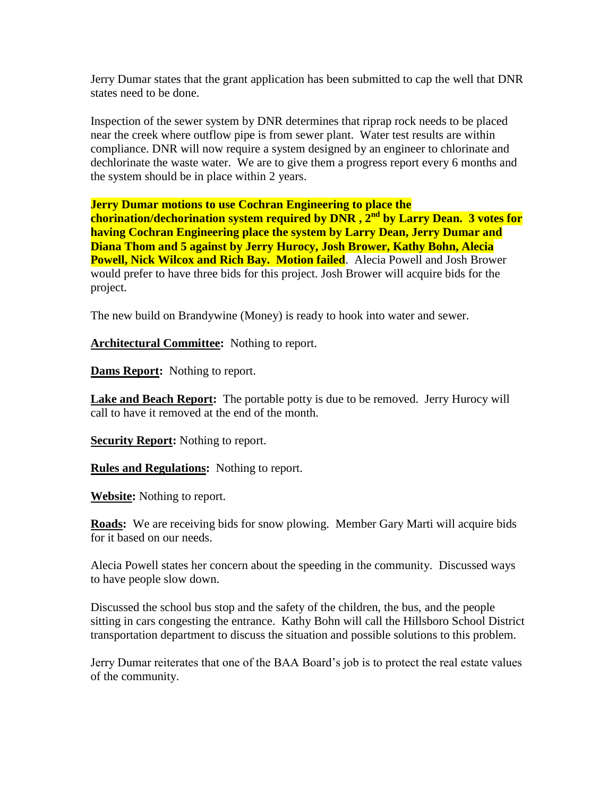Jerry Dumar states that the grant application has been submitted to cap the well that DNR states need to be done.

Inspection of the sewer system by DNR determines that riprap rock needs to be placed near the creek where outflow pipe is from sewer plant. Water test results are within compliance. DNR will now require a system designed by an engineer to chlorinate and dechlorinate the waste water. We are to give them a progress report every 6 months and the system should be in place within 2 years.

**Jerry Dumar motions to use Cochran Engineering to place the chorination/dechorination system required by DNR , 2nd by Larry Dean. 3 votes for having Cochran Engineering place the system by Larry Dean, Jerry Dumar and Diana Thom and 5 against by Jerry Hurocy, Josh Brower, Kathy Bohn, Alecia Powell, Nick Wilcox and Rich Bay. Motion failed.** Alecia Powell and Josh Brower would prefer to have three bids for this project. Josh Brower will acquire bids for the

The new build on Brandywine (Money) is ready to hook into water and sewer.

Architectural Committee: Nothing to report.

**Dams Report:** Nothing to report.

project.

**Lake and Beach Report:** The portable potty is due to be removed. Jerry Hurocy will call to have it removed at the end of the month.

**Security Report:** Nothing to report.

**Rules and Regulations:** Nothing to report.

**Website:** Nothing to report.

**Roads:** We are receiving bids for snow plowing. Member Gary Marti will acquire bids for it based on our needs.

Alecia Powell states her concern about the speeding in the community. Discussed ways to have people slow down.

Discussed the school bus stop and the safety of the children, the bus, and the people sitting in cars congesting the entrance. Kathy Bohn will call the Hillsboro School District transportation department to discuss the situation and possible solutions to this problem.

Jerry Dumar reiterates that one of the BAA Board's job is to protect the real estate values of the community.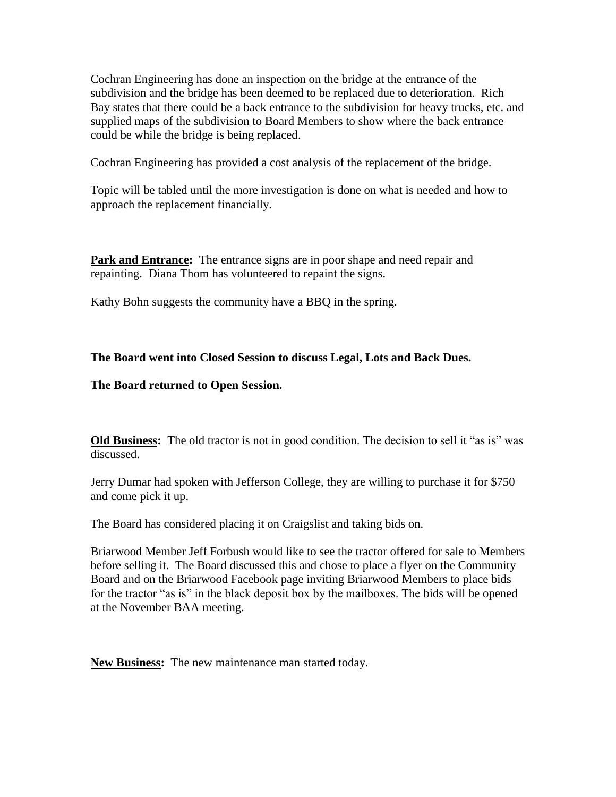Cochran Engineering has done an inspection on the bridge at the entrance of the subdivision and the bridge has been deemed to be replaced due to deterioration. Rich Bay states that there could be a back entrance to the subdivision for heavy trucks, etc. and supplied maps of the subdivision to Board Members to show where the back entrance could be while the bridge is being replaced.

Cochran Engineering has provided a cost analysis of the replacement of the bridge.

Topic will be tabled until the more investigation is done on what is needed and how to approach the replacement financially.

**Park and Entrance:** The entrance signs are in poor shape and need repair and repainting. Diana Thom has volunteered to repaint the signs.

Kathy Bohn suggests the community have a BBQ in the spring.

## **The Board went into Closed Session to discuss Legal, Lots and Back Dues.**

## **The Board returned to Open Session.**

**Old Business:** The old tractor is not in good condition. The decision to sell it "as is" was discussed.

Jerry Dumar had spoken with Jefferson College, they are willing to purchase it for \$750 and come pick it up.

The Board has considered placing it on Craigslist and taking bids on.

Briarwood Member Jeff Forbush would like to see the tractor offered for sale to Members before selling it. The Board discussed this and chose to place a flyer on the Community Board and on the Briarwood Facebook page inviting Briarwood Members to place bids for the tractor "as is" in the black deposit box by the mailboxes. The bids will be opened at the November BAA meeting.

**New Business:** The new maintenance man started today.